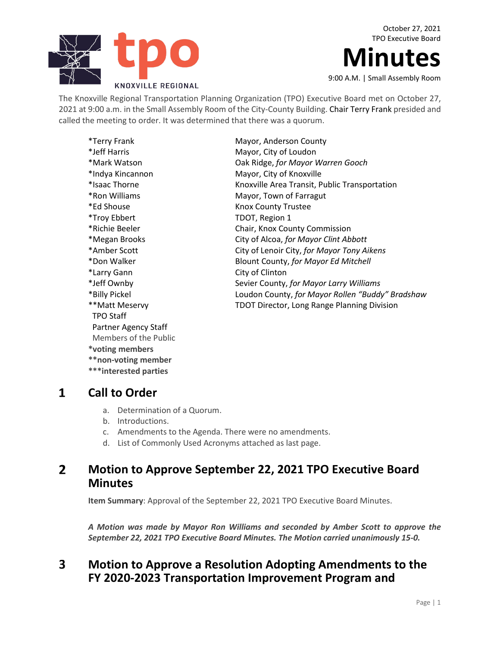

October 27, 2021 TPO Executive Board

# **Minutes**

9:00 A.M. | Small Assembly Room

The Knoxville Regional Transportation Planning Organization (TPO) Executive Board met on October 27, 2021 at 9:00 a.m. in the Small Assembly Room of the City-County Building. Chair Terry Frank presided and called the meeting to order. It was determined that there was a quorum.

| <i>*</i> Terry Frank  | Mayor, Anderson County                             |
|-----------------------|----------------------------------------------------|
| *Jeff Harris          | Mayor, City of Loudon                              |
| *Mark Watson          | Oak Ridge, for Mayor Warren Gooch                  |
| *Indya Kincannon      | Mayor, City of Knoxville                           |
| *Isaac Thorne         | Knoxville Area Transit, Public Transportation      |
| *Ron Williams         | Mayor, Town of Farragut                            |
| *Ed Shouse            | Knox County Trustee                                |
| <i>*</i> Troy Ebbert  | TDOT, Region 1                                     |
| *Richie Beeler        | Chair, Knox County Commission                      |
| *Megan Brooks         | City of Alcoa, for Mayor Clint Abbott              |
| *Amber Scott          | City of Lenoir City, for Mayor Tony Aikens         |
| *Don Walker           | Blount County, for Mayor Ed Mitchell               |
| *Larry Gann           | City of Clinton                                    |
| *Jeff Ownby           | Sevier County, for Mayor Larry Williams            |
| *Billy Pickel         | Loudon County, for Mayor Rollen "Buddy" Bradshaw   |
| **Matt Meservy        | <b>TDOT Director, Long Range Planning Division</b> |
| <b>TPO Staff</b>      |                                                    |
| Partner Agency Staff  |                                                    |
| Members of the Public |                                                    |

## **\*voting members**

- **\*\*non-voting member**
- **\*\*\*interested parties**

#### $\mathbf{1}$ **Call to Order**

- a. Determination of a Quorum.
- b. Introductions.
- c. Amendments to the Agenda. There were no amendments.
- d. List of Commonly Used Acronyms attached as last page.

## **Motion to Approve September 22, 2021 TPO Executive Board**   $2<sup>1</sup>$ **Minutes**

**Item Summary**: Approval of the September 22, 2021 TPO Executive Board Minutes.

*A Motion was made by Mayor Ron Williams and seconded by Amber Scott to approve the September 22, 2021 TPO Executive Board Minutes. The Motion carried unanimously 15-0.*

## **Motion to Approve a Resolution Adopting Amendments to the**  3 **FY 2020-2023 Transportation Improvement Program and**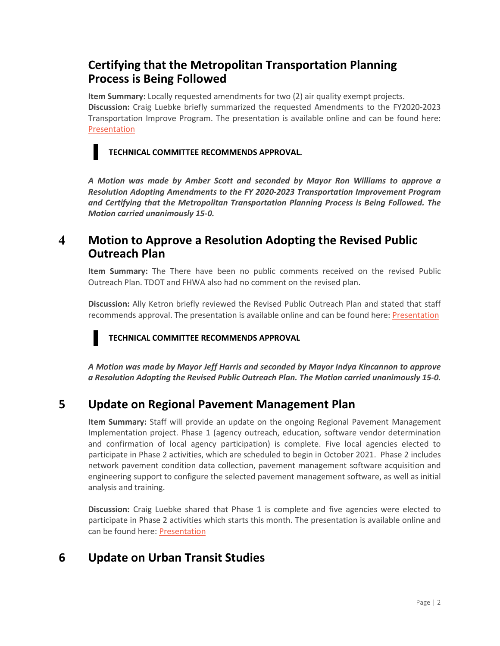# **Certifying that the Metropolitan Transportation Planning Process is Being Followed**

**Item Summary:** Locally requested amendments for two (2) air quality exempt projects. **Discussion:** Craig Luebke briefly summarized the requested Amendments to the FY2020-2023 Transportation Improve Program. The presentation is available online and can be found here: [Presentation](https://knoxtpo.org/home/meetings/exec/agendas/2021/october/presentations/3.pdf)

## **TECHNICAL COMMITTEE RECOMMENDS APPROVAL.**

*A Motion was made by Amber Scott and seconded by Mayor Ron Williams to approve a Resolution Adopting Amendments to the FY 2020-2023 Transportation Improvement Program and Certifying that the Metropolitan Transportation Planning Process is Being Followed. The Motion carried unanimously 15-0.*

### $\overline{\mathbf{4}}$ **Motion to Approve a Resolution Adopting the Revised Public Outreach Plan**

**Item Summary:** The There have been no public comments received on the revised Public Outreach Plan. TDOT and FHWA also had no comment on the revised plan.

**Discussion:** Ally Ketron briefly reviewed the Revised Public Outreach Plan and stated that staff recommends approval. The presentation is available online and can be found here[: Presentation](https://knoxtpo.org/home/meetings/exec/agendas/2021/october/presentations/4.pdf)



*A Motion was made by Mayor Jeff Harris and seconded by Mayor Indya Kincannon to approve a Resolution Adopting the Revised Public Outreach Plan. The Motion carried unanimously 15-0.*

# **5 Update on Regional Pavement Management Plan**

**Item Summary:** Staff will provide an update on the ongoing Regional Pavement Management Implementation project. Phase 1 (agency outreach, education, software vendor determination and confirmation of local agency participation) is complete. Five local agencies elected to participate in Phase 2 activities, which are scheduled to begin in October 2021. Phase 2 includes network pavement condition data collection, pavement management software acquisition and engineering support to configure the selected pavement management software, as well as initial analysis and training.

**Discussion:** Craig Luebke shared that Phase 1 is complete and five agencies were elected to participate in Phase 2 activities which starts this month. The presentation is available online and can be found here: [Presentation](https://knoxtpo.org/home/meetings/exec/agendas/2021/october/presentations/5.pdf)

## **6 Update on Urban Transit Studies**